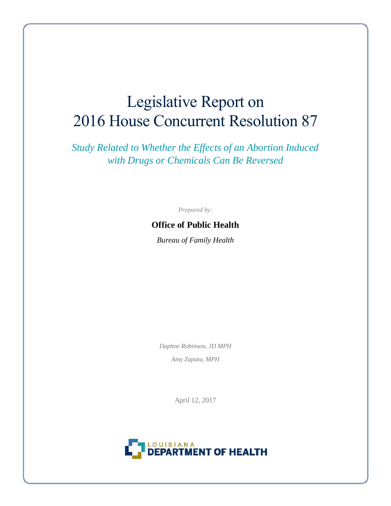# Legislative Report on 2016 House Concurrent Resolution 87

*Study Related to Whether the Effects of an Abortion Induced with Drugs or Chemicals Can Be Reversed*

*Prepared by:*

# **Office of Public Health**

*Bureau of Family Health*

*Daphne Robinson, JD MPH Amy Zapata, MPH*

April 12, 2017

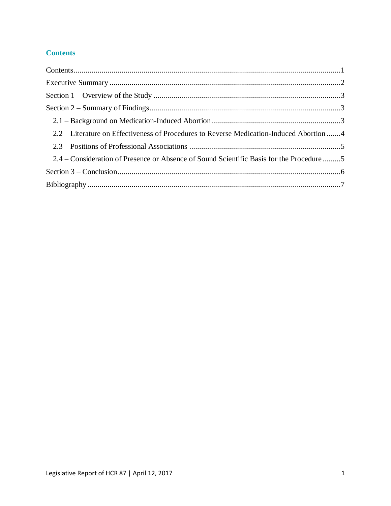# <span id="page-1-0"></span>**Contents**

| 2.2 – Literature on Effectiveness of Procedures to Reverse Medication-Induced Abortion 4 |  |
|------------------------------------------------------------------------------------------|--|
|                                                                                          |  |
| 2.4 – Consideration of Presence or Absence of Sound Scientific Basis for the Procedure 5 |  |
|                                                                                          |  |
|                                                                                          |  |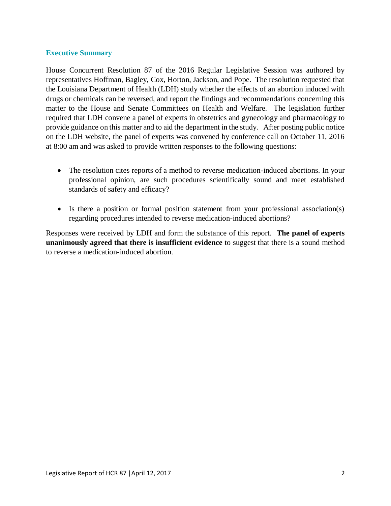#### <span id="page-2-0"></span>**Executive Summary**

House Concurrent Resolution 87 of the 2016 Regular Legislative Session was authored by representatives Hoffman, Bagley, Cox, Horton, Jackson, and Pope. The resolution requested that the Louisiana Department of Health (LDH) study whether the effects of an abortion induced with drugs or chemicals can be reversed, and report the findings and recommendations concerning this matter to the House and Senate Committees on Health and Welfare. The legislation further required that LDH convene a panel of experts in obstetrics and gynecology and pharmacology to provide guidance on this matter and to aid the department in the study. After posting public notice on the LDH website, the panel of experts was convened by conference call on October 11, 2016 at 8:00 am and was asked to provide written responses to the following questions:

- The resolution cites reports of a method to reverse medication-induced abortions. In your professional opinion, are such procedures scientifically sound and meet established standards of safety and efficacy?
- Is there a position or formal position statement from your professional association(s) regarding procedures intended to reverse medication-induced abortions?

Responses were received by LDH and form the substance of this report. **The panel of experts unanimously agreed that there is insufficient evidence** to suggest that there is a sound method to reverse a medication-induced abortion.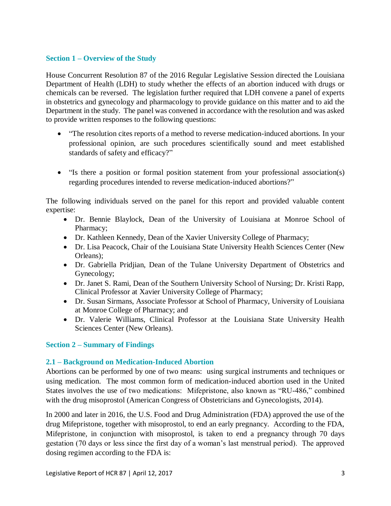## <span id="page-3-0"></span>**Section 1 – Overview of the Study**

House Concurrent Resolution 87 of the 2016 Regular Legislative Session directed the Louisiana Department of Health (LDH) to study whether the effects of an abortion induced with drugs or chemicals can be reversed. The legislation further required that LDH convene a panel of experts in obstetrics and gynecology and pharmacology to provide guidance on this matter and to aid the Department in the study. The panel was convened in accordance with the resolution and was asked to provide written responses to the following questions:

- "The resolution cites reports of a method to reverse medication-induced abortions. In your professional opinion, are such procedures scientifically sound and meet established standards of safety and efficacy?"
- "Is there a position or formal position statement from your professional association(s) regarding procedures intended to reverse medication-induced abortions?"

The following individuals served on the panel for this report and provided valuable content expertise:

- Dr. Bennie Blaylock, Dean of the University of Louisiana at Monroe School of Pharmacy;
- Dr. Kathleen Kennedy, Dean of the Xavier University College of Pharmacy;
- Dr. Lisa Peacock, Chair of the Louisiana State University Health Sciences Center (New Orleans);
- Dr. Gabriella Pridjian, Dean of the Tulane University Department of Obstetrics and Gynecology;
- Dr. Janet S. Rami, Dean of the Southern University School of Nursing; Dr. Kristi Rapp, Clinical Professor at Xavier University College of Pharmacy;
- Dr. Susan Sirmans, Associate Professor at School of Pharmacy, University of Louisiana at Monroe College of Pharmacy; and
- Dr. Valerie Williams, Clinical Professor at the Louisiana State University Health Sciences Center (New Orleans).

## <span id="page-3-1"></span>**Section 2 – Summary of Findings**

## <span id="page-3-2"></span>**2.1 – Background on Medication-Induced Abortion**

Abortions can be performed by one of two means: using surgical instruments and techniques or using medication. The most common form of medication-induced abortion used in the United States involves the use of two medications: Mifepristone, also known as "RU-486," combined with the drug misoprostol (American Congress of Obstetricians and Gynecologists, 2014).

In 2000 and later in 2016, the U.S. Food and Drug Administration (FDA) approved the use of the drug Mifepristone, together with misoprostol, to end an early pregnancy. According to the FDA, Mifepristone, in conjunction with misoprostol, is taken to end a pregnancy through 70 days gestation (70 days or less since the first day of a woman's last menstrual period). The approved dosing regimen according to the FDA is: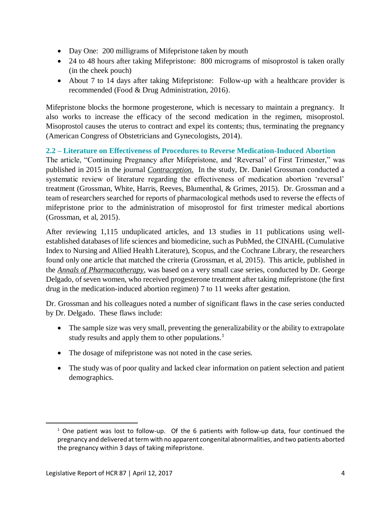- Day One: 200 milligrams of Mifepristone taken by mouth
- 24 to 48 hours after taking Mifepristone: 800 micrograms of misoprostol is taken orally (in the cheek pouch)
- About 7 to 14 days after taking Mifepristone: Follow-up with a healthcare provider is recommended (Food & Drug Administration, 2016).

Mifepristone blocks the hormone progesterone, which is necessary to maintain a pregnancy. It also works to increase the efficacy of the second medication in the regimen, misoprostol. Misoprostol causes the uterus to contract and expel its contents; thus, terminating the pregnancy (American Congress of Obstetricians and Gynecologists, 2014).

## <span id="page-4-0"></span>**2.2 – Literature on Effectiveness of Procedures to Reverse Medication-Induced Abortion**

The article, "Continuing Pregnancy after Mifepristone, and 'Reversal' of First Trimester," was published in 2015 in the journal *Contraception.* In the study, Dr. Daniel Grossman conducted a systematic review of literature regarding the effectiveness of medication abortion 'reversal' treatment (Grossman, White, Harris, Reeves, Blumenthal, & Grimes, 2015). Dr. Grossman and a team of researchers searched for reports of pharmacological methods used to reverse the effects of mifepristone prior to the administration of misoprostol for first trimester medical abortions (Grossman, et al, 2015).

After reviewing 1,115 unduplicated articles, and 13 studies in 11 publications using wellestablished databases of life sciences and biomedicine, such as PubMed, the CINAHL (Cumulative Index to Nursing and Allied Health Literature), Scopus, and the Cochrane Library, the researchers found only one article that matched the criteria (Grossman, et al, 2015). This article, published in the *Annals of Pharmacotherapy*, was based on a very small case series, conducted by Dr. George Delgado, of seven women, who received progesterone treatment after taking mifepristone (the first drug in the medication-induced abortion regimen) 7 to 11 weeks after gestation.

Dr. Grossman and his colleagues noted a number of significant flaws in the case series conducted by Dr. Delgado. These flaws include:

- The sample size was very small, preventing the generalizability or the ability to extrapolate study results and apply them to other populations.<sup>1</sup>
- The dosage of mifepristone was not noted in the case series.
- The study was of poor quality and lacked clear information on patient selection and patient demographics.

 $\overline{a}$ 

<sup>&</sup>lt;sup>1</sup> One patient was lost to follow-up. Of the 6 patients with follow-up data, four continued the pregnancy and delivered at term with no apparent congenital abnormalities, and two patients aborted the pregnancy within 3 days of taking mifepristone.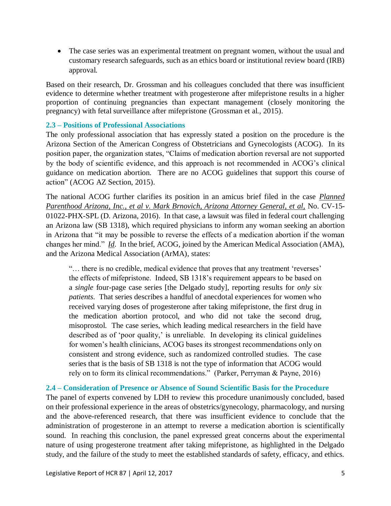• The case series was an experimental treatment on pregnant women, without the usual and customary research safeguards, such as an ethics board or institutional review board (IRB) approval.

Based on their research, Dr. Grossman and his colleagues concluded that there was insufficient evidence to determine whether treatment with progesterone after mifepristone results in a higher proportion of continuing pregnancies than expectant management (closely monitoring the pregnancy) with fetal surveillance after mifepristone (Grossman et al., 2015).

#### <span id="page-5-0"></span>**2.3 – Positions of Professional Associations**

The only professional association that has expressly stated a position on the procedure is the Arizona Section of the American Congress of Obstetricians and Gynecologists (ACOG). In its position paper, the organization states, "Claims of medication abortion reversal are not supported by the body of scientific evidence, and this approach is not recommended in ACOG's clinical guidance on medication abortion. There are no ACOG guidelines that support this course of action" (ACOG AZ Section, 2015).

The national ACOG further clarifies its position in an amicus brief filed in the case *Planned Parenthood Arizona, Inc., et al v. Mark Brnovich, Arizona Attorney General, et al,* No. CV-15- 01022-PHX-SPL (D. Arizona, 2016). In that case, a lawsuit was filed in federal court challenging an Arizona law (SB 1318), which required physicians to inform any woman seeking an abortion in Arizona that "it may be possible to reverse the effects of a medication abortion if the woman changes her mind." *Id*. In the brief, ACOG, joined by the American Medical Association (AMA), and the Arizona Medical Association (ArMA), states:

"… there is no credible, medical evidence that proves that any treatment 'reverses' the effects of mifepristone. Indeed, SB 1318's requirement appears to be based on a *single* four-page case series [the Delgado study], reporting results for *only six patients*. That series describes a handful of anecdotal experiences for women who received varying doses of progesterone after taking mifepristone, the first drug in the medication abortion protocol, and who did not take the second drug, misoprostol. The case series, which leading medical researchers in the field have described as of 'poor quality,' is unreliable. In developing its clinical guidelines for women's health clinicians, ACOG bases its strongest recommendations only on consistent and strong evidence, such as randomized controlled studies. The case series that is the basis of SB 1318 is not the type of information that ACOG would rely on to form its clinical recommendations." (Parker, Perryman & Payne, 2016)

## <span id="page-5-1"></span>**2.4 – Consideration of Presence or Absence of Sound Scientific Basis for the Procedure**

The panel of experts convened by LDH to review this procedure unanimously concluded, based on their professional experience in the areas of obstetrics/gynecology, pharmacology, and nursing and the above-referenced research, that there was insufficient evidence to conclude that the administration of progesterone in an attempt to reverse a medication abortion is scientifically sound. In reaching this conclusion, the panel expressed great concerns about the experimental nature of using progesterone treatment after taking mifepristone, as highlighted in the Delgado study, and the failure of the study to meet the established standards of safety, efficacy, and ethics.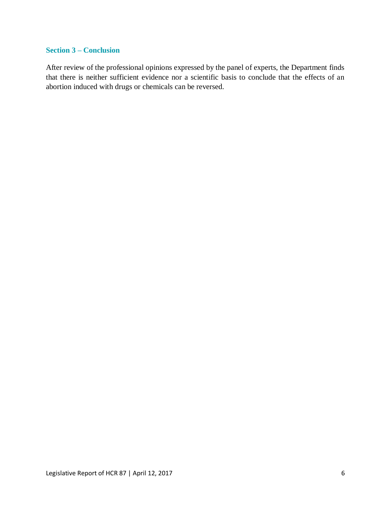#### <span id="page-6-0"></span>**Section 3 – Conclusion**

After review of the professional opinions expressed by the panel of experts, the Department finds that there is neither sufficient evidence nor a scientific basis to conclude that the effects of an abortion induced with drugs or chemicals can be reversed.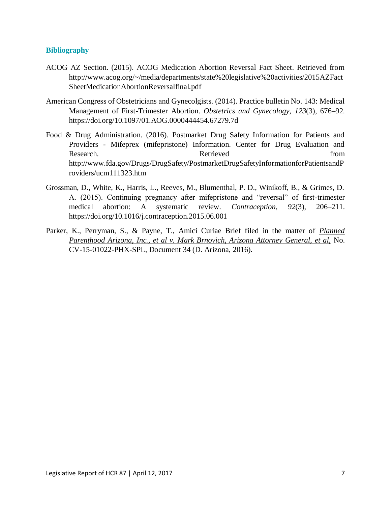#### <span id="page-7-0"></span>**Bibliography**

- ACOG AZ Section. (2015). ACOG Medication Abortion Reversal Fact Sheet. Retrieved from http://www.acog.org/~/media/departments/state%20legislative%20activities/2015AZFact SheetMedicationAbortionReversalfinal.pdf
- American Congress of Obstetricians and Gynecolgists. (2014). Practice bulletin No. 143: Medical Management of First-Trimester Abortion. *Obstetrics and Gynecology*, *123*(3), 676–92. https://doi.org/10.1097/01.AOG.0000444454.67279.7d
- Food & Drug Administration. (2016). Postmarket Drug Safety Information for Patients and Providers - Mifeprex (mifepristone) Information. Center for Drug Evaluation and Research. **Retrieved Retrieved** from http://www.fda.gov/Drugs/DrugSafety/PostmarketDrugSafetyInformationforPatientsandP roviders/ucm111323.htm
- Grossman, D., White, K., Harris, L., Reeves, M., Blumenthal, P. D., Winikoff, B., & Grimes, D. A. (2015). Continuing pregnancy after mifepristone and "reversal" of first-trimester medical abortion: A systematic review. *Contraception*, *92*(3), 206–211. https://doi.org/10.1016/j.contraception.2015.06.001
- Parker, K., Perryman, S., & Payne, T., Amici Curiae Brief filed in the matter of *Planned Parenthood Arizona, Inc., et al v. Mark Brnovich, Arizona Attorney General, et al,* No. CV-15-01022-PHX-SPL, Document 34 (D. Arizona, 2016).